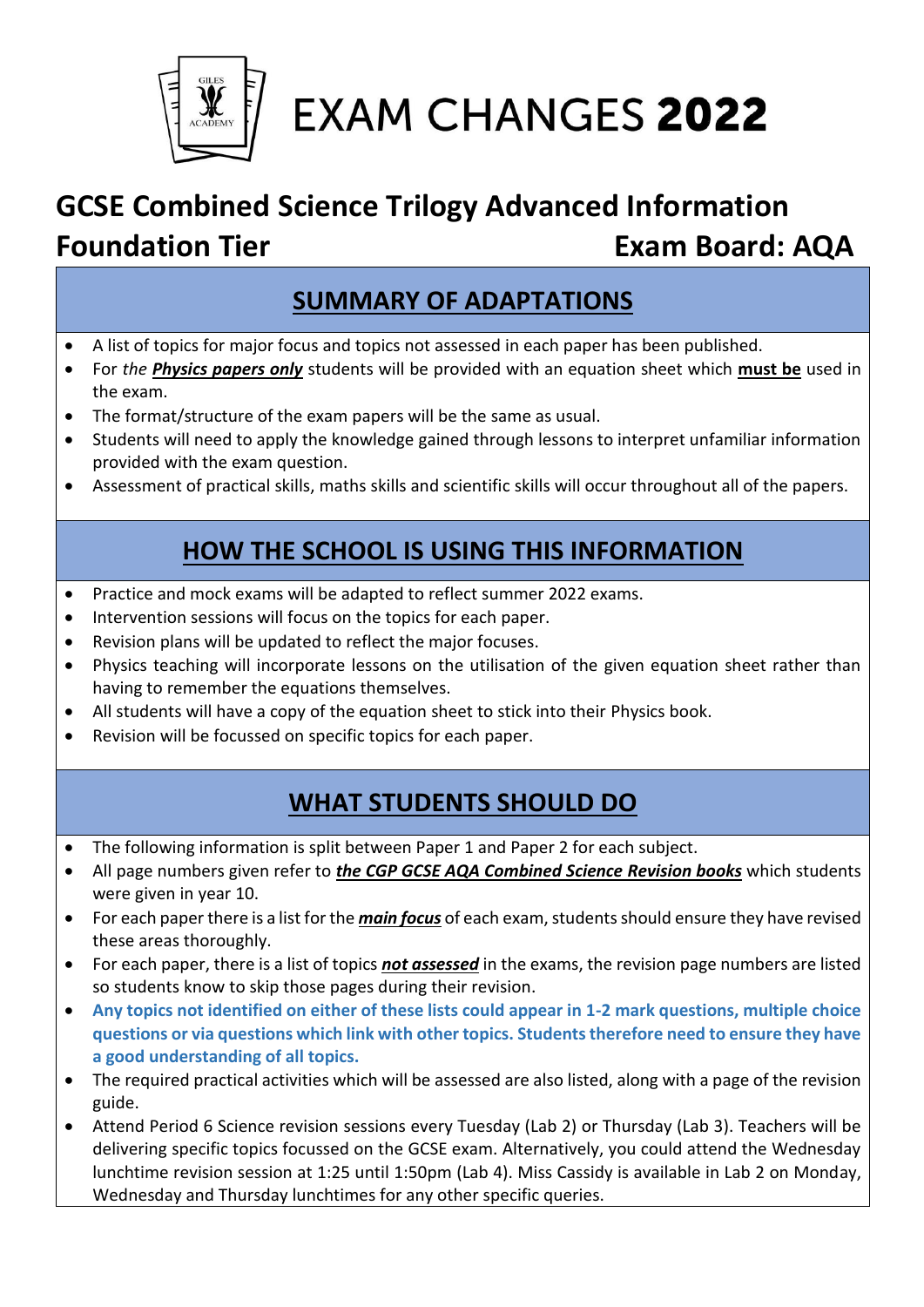

## **EXAM CHANGES 2022**

### **GCSE Combined Science Trilogy Advanced Information Foundation Tier <b>Exam Board: AQA**

### **SUMMARY OF ADAPTATIONS**

- A list of topics for major focus and topics not assessed in each paper has been published.
- For *the Physics papers only* students will be provided with an equation sheet which **must be** used in the exam.
- The format/structure of the exam papers will be the same as usual.
- Students will need to apply the knowledge gained through lessons to interpret unfamiliar information provided with the exam question.
- Assessment of practical skills, maths skills and scientific skills will occur throughout all of the papers.

### **HOW THE SCHOOL IS USING THIS INFORMATION**

- Practice and mock exams will be adapted to reflect summer 2022 exams.
- Intervention sessions will focus on the topics for each paper.
- Revision plans will be updated to reflect the major focuses.
- Physics teaching will incorporate lessons on the utilisation of the given equation sheet rather than having to remember the equations themselves.
- All students will have a copy of the equation sheet to stick into their Physics book.
- Revision will be focussed on specific topics for each paper.

### **WHAT STUDENTS SHOULD DO**

- The following information is split between Paper 1 and Paper 2 for each subject.
- All page numbers given refer to *the CGP GCSE AQA Combined Science Revision books* which students were given in year 10.
- For each paper there is a list for the *main focus* of each exam, students should ensure they have revised these areas thoroughly.
- For each paper, there is a list of topics *not assessed* in the exams, the revision page numbers are listed so students know to skip those pages during their revision.
- **Any topics not identified on either of these lists could appear in 1-2 mark questions, multiple choice questions or via questions which link with other topics. Students therefore need to ensure they have a good understanding of all topics.**
- The required practical activities which will be assessed are also listed, along with a page of the revision guide.
- Attend Period 6 Science revision sessions every Tuesday (Lab 2) or Thursday (Lab 3). Teachers will be delivering specific topics focussed on the GCSE exam. Alternatively, you could attend the Wednesday lunchtime revision session at 1:25 until 1:50pm (Lab 4). Miss Cassidy is available in Lab 2 on Monday, Wednesday and Thursday lunchtimes for any other specific queries.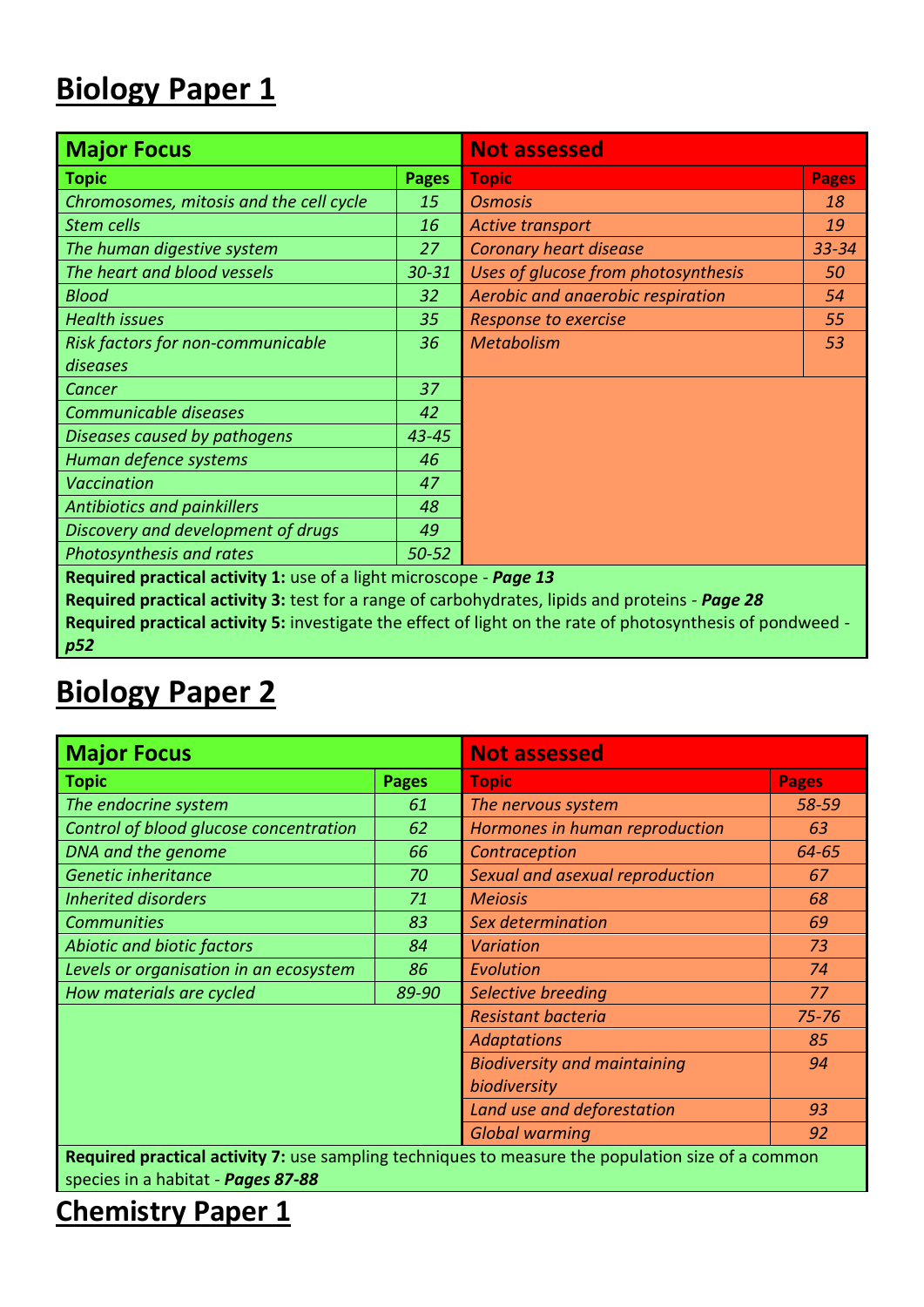### **Biology Paper 1**

| <b>Major Focus</b>                                                                              | <b>Not assessed</b> |                                                                                                            |              |  |  |  |
|-------------------------------------------------------------------------------------------------|---------------------|------------------------------------------------------------------------------------------------------------|--------------|--|--|--|
| <b>Topic</b>                                                                                    | <b>Pages</b>        | <b>Topic</b>                                                                                               | <b>Pages</b> |  |  |  |
| Chromosomes, mitosis and the cell cycle                                                         | 15                  | <b>Osmosis</b>                                                                                             | 18           |  |  |  |
| Stem cells                                                                                      | 16                  | <b>Active transport</b>                                                                                    | 19           |  |  |  |
| The human digestive system                                                                      | 27                  | <b>Coronary heart disease</b>                                                                              | $33 - 34$    |  |  |  |
| The heart and blood vessels                                                                     | $30 - 31$           | Uses of glucose from photosynthesis                                                                        | 50           |  |  |  |
| <b>Blood</b>                                                                                    | 32                  | Aerobic and anaerobic respiration                                                                          | 54           |  |  |  |
| <b>Health issues</b>                                                                            | 35                  | <b>Response to exercise</b>                                                                                | 55           |  |  |  |
| Risk factors for non-communicable                                                               | 36                  | <b>Metabolism</b>                                                                                          | 53           |  |  |  |
| diseases                                                                                        |                     |                                                                                                            |              |  |  |  |
| Cancer                                                                                          | 37                  |                                                                                                            |              |  |  |  |
| Communicable diseases                                                                           | 42                  |                                                                                                            |              |  |  |  |
| Diseases caused by pathogens                                                                    | $43 - 45$           |                                                                                                            |              |  |  |  |
| Human defence systems                                                                           | 46                  |                                                                                                            |              |  |  |  |
| <b>Vaccination</b>                                                                              | 47                  |                                                                                                            |              |  |  |  |
| <b>Antibiotics and painkillers</b>                                                              | 48                  |                                                                                                            |              |  |  |  |
| Discovery and development of drugs                                                              | 49                  |                                                                                                            |              |  |  |  |
| Photosynthesis and rates                                                                        | $50 - 52$           |                                                                                                            |              |  |  |  |
| Required practical activity 1: use of a light microscope - Page 13                              |                     |                                                                                                            |              |  |  |  |
| Required practical activity 3: test for a range of carbohydrates, lipids and proteins - Page 28 |                     |                                                                                                            |              |  |  |  |
|                                                                                                 |                     | Required practical activity 5: investigate the effect of light on the rate of photosynthesis of pondweed - |              |  |  |  |

*p52*

### **Biology Paper 2**

| <b>Major Focus</b>                                                                                                                      |              | <b>Not assessed</b>                       |              |  |  |  |
|-----------------------------------------------------------------------------------------------------------------------------------------|--------------|-------------------------------------------|--------------|--|--|--|
| <b>Topic</b>                                                                                                                            | <b>Pages</b> | <b>Topic</b>                              | <b>Pages</b> |  |  |  |
| The endocrine system                                                                                                                    | 61           | The nervous system                        | 58-59        |  |  |  |
| Control of blood glucose concentration                                                                                                  | 62           | Hormones in human reproduction            | 63           |  |  |  |
| DNA and the genome                                                                                                                      | 66           | Contraception                             | $64 - 65$    |  |  |  |
| Genetic inheritance                                                                                                                     | 70           | Sexual and asexual reproduction           | 67           |  |  |  |
| <b>Inherited disorders</b>                                                                                                              | 71           | <b>Meiosis</b>                            | 68           |  |  |  |
| <b>Communities</b>                                                                                                                      | 83           | Sex determination                         | 69           |  |  |  |
| Abiotic and biotic factors                                                                                                              | 84           | <b>Variation</b>                          | 73           |  |  |  |
| Levels or organisation in an ecosystem                                                                                                  | 86           | Evolution                                 | 74           |  |  |  |
| How materials are cycled                                                                                                                | 89-90        | Selective breeding                        | 77           |  |  |  |
|                                                                                                                                         |              | <b>Resistant bacteria</b>                 | $75 - 76$    |  |  |  |
|                                                                                                                                         |              | <b>Adaptations</b>                        | 85           |  |  |  |
|                                                                                                                                         |              | <b>Biodiversity and maintaining</b><br>94 |              |  |  |  |
|                                                                                                                                         |              | biodiversity                              |              |  |  |  |
|                                                                                                                                         |              | Land use and deforestation<br>93          |              |  |  |  |
|                                                                                                                                         |              | <b>Global warming</b>                     | 92           |  |  |  |
| Required practical activity 7: use sampling techniques to measure the population size of a common<br>species in a habitat - Pages 87-88 |              |                                           |              |  |  |  |

**Chemistry Paper 1**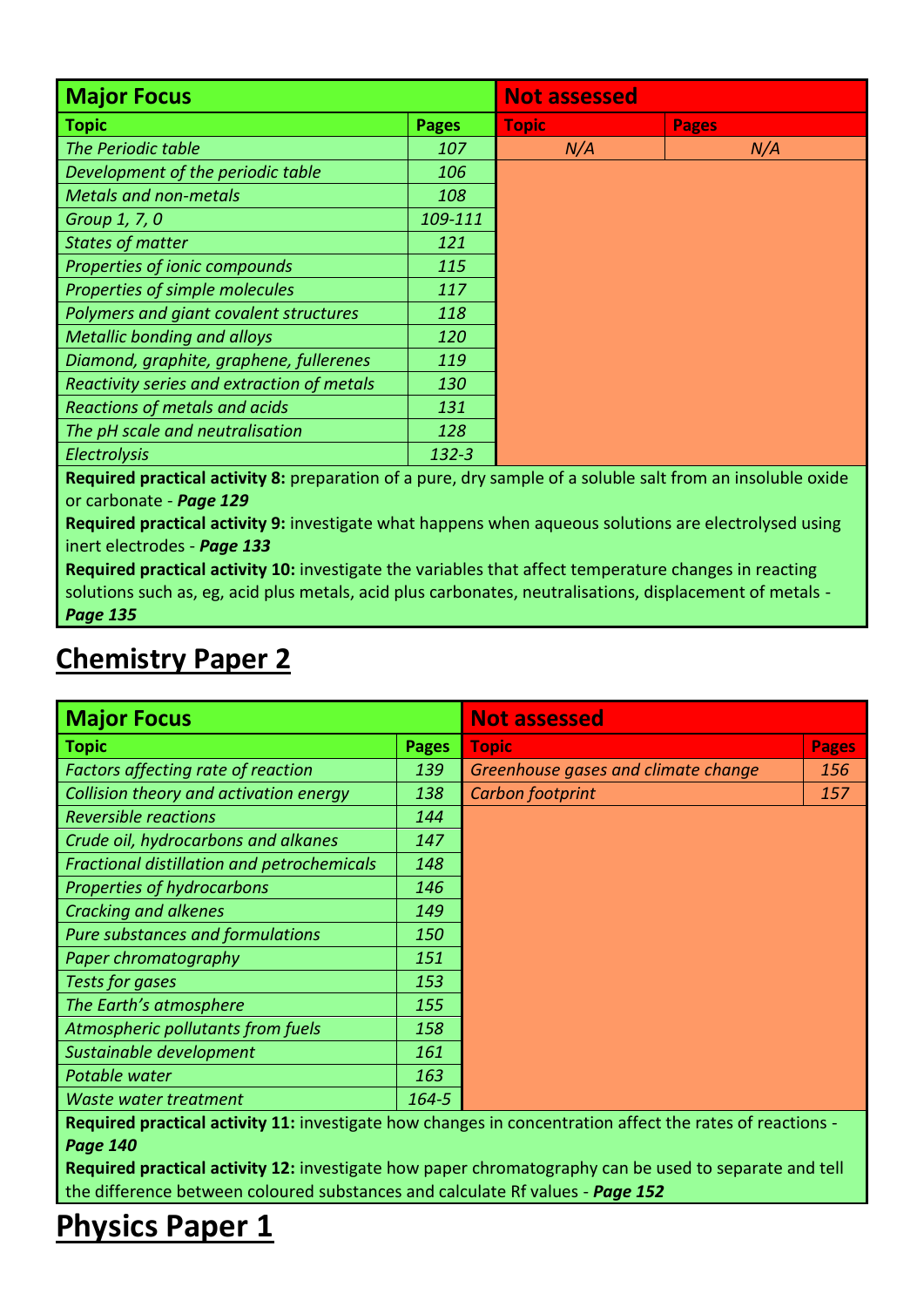| <b>Major Focus</b>                         | <b>Not assessed</b> |              |              |  |  |
|--------------------------------------------|---------------------|--------------|--------------|--|--|
| <b>Topic</b>                               | <b>Pages</b>        | <b>Topic</b> | <b>Pages</b> |  |  |
| The Periodic table                         | 107                 | N/A          | N/A          |  |  |
| Development of the periodic table          | 106                 |              |              |  |  |
| <b>Metals and non-metals</b>               | 108                 |              |              |  |  |
| Group 1, 7, 0                              | 109-111             |              |              |  |  |
| <b>States of matter</b>                    | 121                 |              |              |  |  |
| Properties of ionic compounds              | 115                 |              |              |  |  |
| Properties of simple molecules             | 117                 |              |              |  |  |
| Polymers and giant covalent structures     | 118                 |              |              |  |  |
| <b>Metallic bonding and alloys</b>         | 120                 |              |              |  |  |
| Diamond, graphite, graphene, fullerenes    | 119                 |              |              |  |  |
| Reactivity series and extraction of metals | 130                 |              |              |  |  |
| Reactions of metals and acids              | 131                 |              |              |  |  |
| The pH scale and neutralisation            | 128                 |              |              |  |  |
| Electrolysis                               | $132 - 3$           |              |              |  |  |

**Required practical activity 8:** preparation of a pure, dry sample of a soluble salt from an insoluble oxide or carbonate - *Page 129*

**Required practical activity 9:** investigate what happens when aqueous solutions are electrolysed using inert electrodes - *Page 133*

**Required practical activity 10:** investigate the variables that affect temperature changes in reacting solutions such as, eg, acid plus metals, acid plus carbonates, neutralisations, displacement of metals - *Page 135*

| <b>Major Focus</b>                         | <b>Not assessed</b> |                                     |              |  |
|--------------------------------------------|---------------------|-------------------------------------|--------------|--|
| <b>Topic</b>                               | <b>Pages</b>        | Topic                               | <b>Pages</b> |  |
| <b>Factors affecting rate of reaction</b>  | 139                 | Greenhouse gases and climate change | 156          |  |
| Collision theory and activation energy     | 138                 | Carbon footprint                    | 157          |  |
| <b>Reversible reactions</b>                | 144                 |                                     |              |  |
| Crude oil, hydrocarbons and alkanes        | 147                 |                                     |              |  |
| Fractional distillation and petrochemicals | 148                 |                                     |              |  |
| Properties of hydrocarbons                 | 146                 |                                     |              |  |
| Cracking and alkenes                       | 149                 |                                     |              |  |
| <b>Pure substances and formulations</b>    | 150                 |                                     |              |  |
| Paper chromatography                       | 151                 |                                     |              |  |
| Tests for gases                            | 153                 |                                     |              |  |
| The Earth's atmosphere                     | 155                 |                                     |              |  |
| Atmospheric pollutants from fuels          | 158                 |                                     |              |  |
| Sustainable development                    | 161                 |                                     |              |  |
| Potable water                              | 163                 |                                     |              |  |
| Waste water treatment                      | $164 - 5$           |                                     |              |  |

### **Chemistry Paper 2**

**Required practical activity 11:** investigate how changes in concentration affect the rates of reactions - *Page 140*

**Required practical activity 12:** investigate how paper chromatography can be used to separate and tell the difference between coloured substances and calculate Rf values - *Page 152*

### **Physics Paper 1**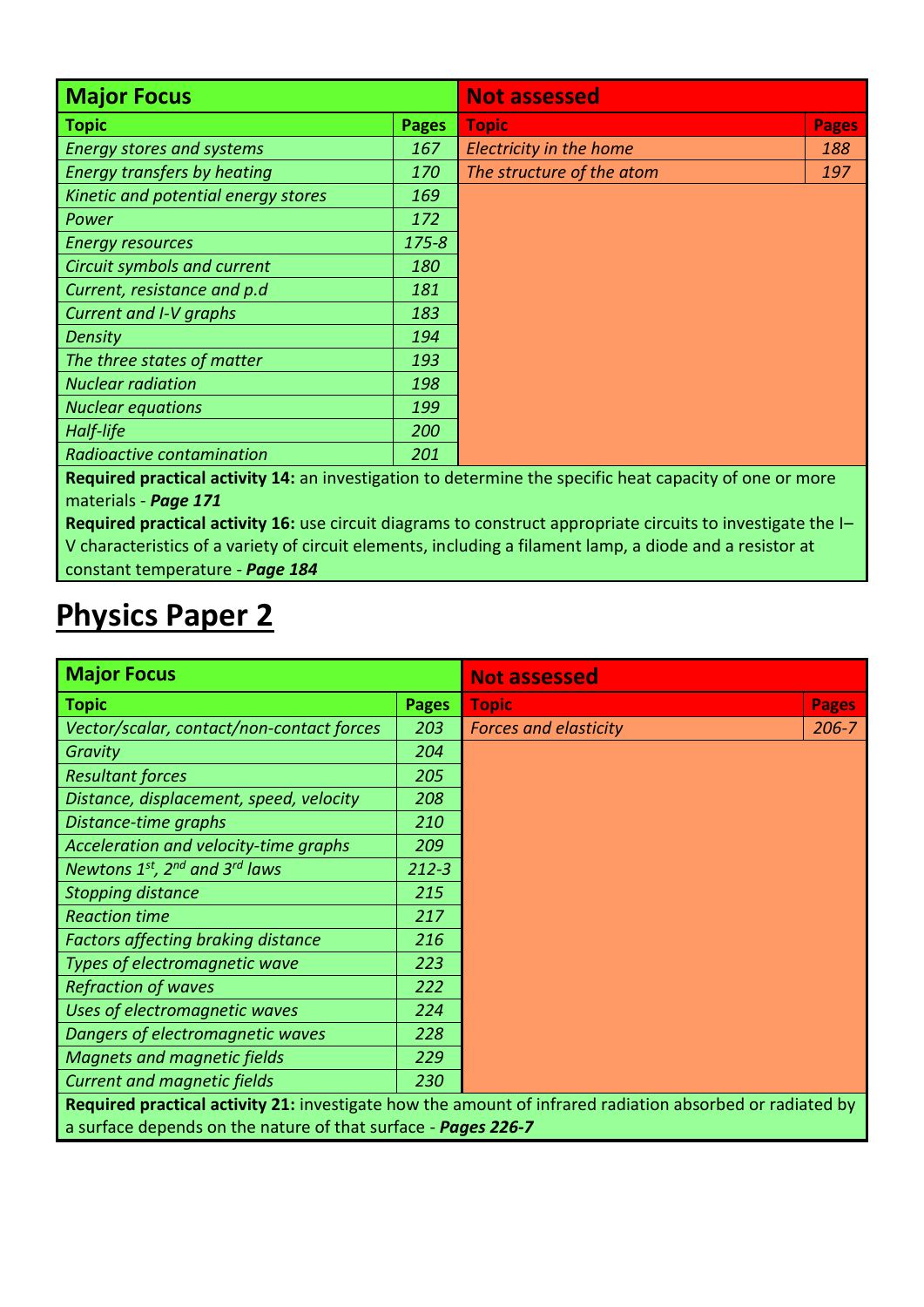| <b>Major Focus</b>                  |              | <b>Not assessed</b>       |              |  |  |  |
|-------------------------------------|--------------|---------------------------|--------------|--|--|--|
| <b>Topic</b>                        | <b>Pages</b> | <b>Topic</b>              | <b>Pages</b> |  |  |  |
| <b>Energy stores and systems</b>    | 167          | Electricity in the home   | 188          |  |  |  |
| Energy transfers by heating         | 170          | The structure of the atom | 197          |  |  |  |
| Kinetic and potential energy stores | 169          |                           |              |  |  |  |
| Power                               | 172          |                           |              |  |  |  |
| <b>Energy resources</b>             | $175 - 8$    |                           |              |  |  |  |
| Circuit symbols and current         | 180          |                           |              |  |  |  |
| Current, resistance and p.d         | 181          |                           |              |  |  |  |
| Current and I-V graphs              | 183          |                           |              |  |  |  |
| <b>Density</b>                      | 194          |                           |              |  |  |  |
| The three states of matter          | 193          |                           |              |  |  |  |
| <b>Nuclear radiation</b>            | 198          |                           |              |  |  |  |
| <b>Nuclear equations</b>            | 199          |                           |              |  |  |  |
| Half-life                           | 200          |                           |              |  |  |  |
| Radioactive contamination           | 201          |                           |              |  |  |  |

**Required practical activity 14:** an investigation to determine the specific heat capacity of one or more materials - *Page 171*

**Required practical activity 16:** use circuit diagrams to construct appropriate circuits to investigate the I– V characteristics of a variety of circuit elements, including a filament lamp, a diode and a resistor at constant temperature - *Page 184*

### **Physics Paper 2**

| <b>Major Focus</b>                                            | <b>Not assessed</b>                                                                                      |                              |              |  |
|---------------------------------------------------------------|----------------------------------------------------------------------------------------------------------|------------------------------|--------------|--|
| <b>Topic</b>                                                  | <b>Pages</b>                                                                                             | <b>Topic</b>                 | <b>Pages</b> |  |
| Vector/scalar, contact/non-contact forces                     | 203                                                                                                      | <b>Forces and elasticity</b> | $206 - 7$    |  |
| Gravity                                                       | 204                                                                                                      |                              |              |  |
| <b>Resultant forces</b>                                       | 205                                                                                                      |                              |              |  |
| Distance, displacement, speed, velocity                       | 208                                                                                                      |                              |              |  |
| Distance-time graphs                                          | 210                                                                                                      |                              |              |  |
| Acceleration and velocity-time graphs                         | 209                                                                                                      |                              |              |  |
| Newtons $1^{st}$ , $2^{nd}$ and $3^{rd}$ laws                 | $212 - 3$                                                                                                |                              |              |  |
| <b>Stopping distance</b>                                      | 215                                                                                                      |                              |              |  |
| <b>Reaction time</b>                                          | 217                                                                                                      |                              |              |  |
| <b>Factors affecting braking distance</b>                     | 216                                                                                                      |                              |              |  |
| Types of electromagnetic wave                                 | 223                                                                                                      |                              |              |  |
| <b>Refraction of waves</b>                                    | 222                                                                                                      |                              |              |  |
| Uses of electromagnetic waves                                 | 224                                                                                                      |                              |              |  |
| Dangers of electromagnetic waves                              | 228                                                                                                      |                              |              |  |
| <b>Magnets and magnetic fields</b>                            | 229                                                                                                      |                              |              |  |
| <b>Current and magnetic fields</b>                            | 230                                                                                                      |                              |              |  |
|                                                               | Required practical activity 21: investigate how the amount of infrared radiation absorbed or radiated by |                              |              |  |
| a surface depends on the nature of that surface - Pages 226-7 |                                                                                                          |                              |              |  |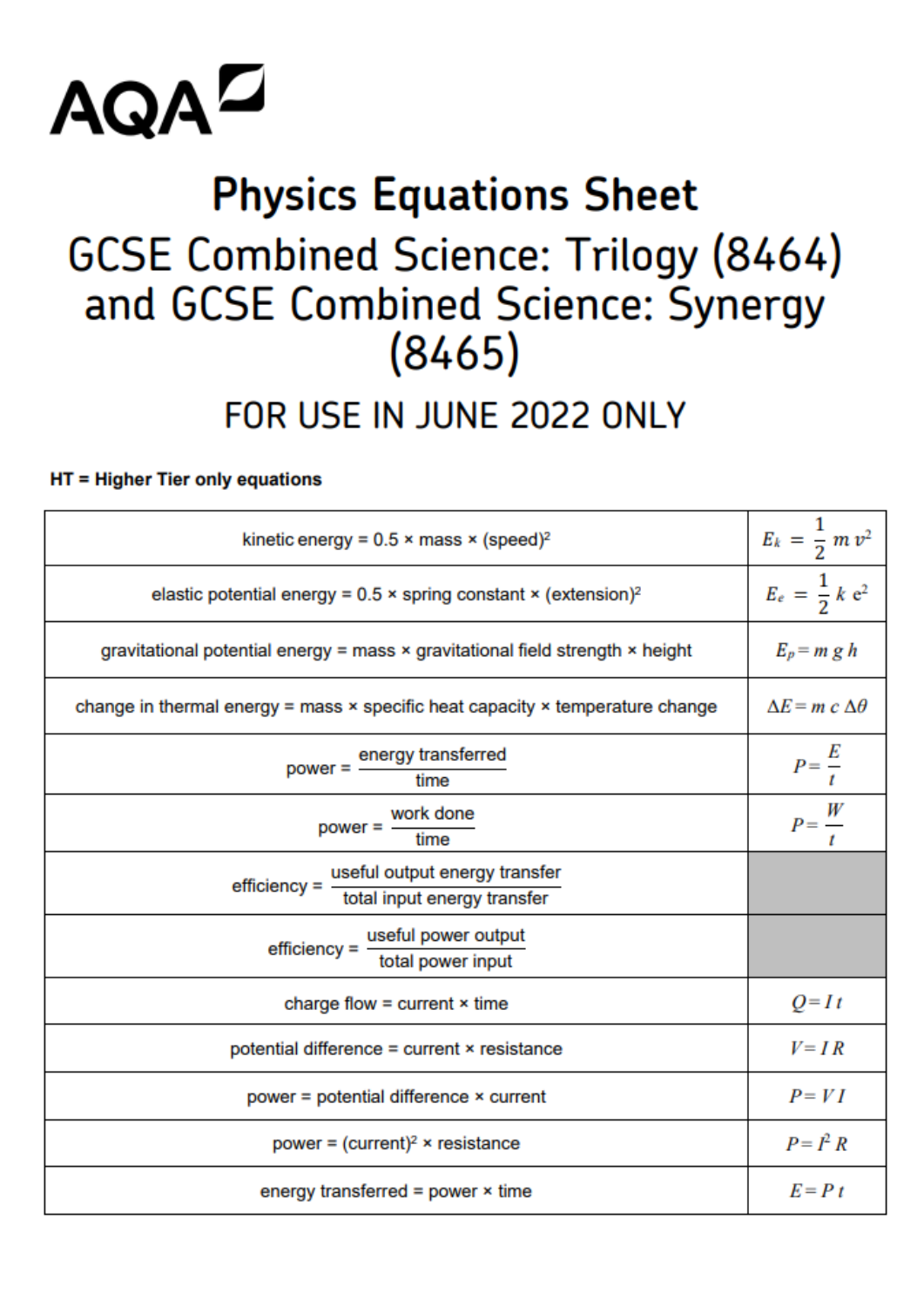

## **Physics Equations Sheet GCSE Combined Science: Trilogy (8464)** and GCSE Combined Science: Synergy  $(8465)$

### FOR USE IN JUNE 2022 ONLY

### HT = Higher Tier only equations

| kinetic energy = $0.5 \times \text{mass} \times (\text{speed})^2$                           | $E_k = \frac{1}{2} m v^2$      |
|---------------------------------------------------------------------------------------------|--------------------------------|
| elastic potential energy = $0.5 \times$ spring constant $\times$ (extension) <sup>2</sup>   | $E_e = \frac{1}{2} k e^2$      |
| gravitational potential energy = mass × gravitational field strength × height               | $E_p = m g h$                  |
| change in thermal energy = mass $\times$ specific heat capacity $\times$ temperature change | $\Delta E = m c \Delta \theta$ |
| power = energy transferred<br>time                                                          | $P=\frac{E}{t}$                |
| work done<br>power = $-$<br>time                                                            | $P=\frac{W}{t}$                |
| useful output energy transfer<br>efficiency = $-$<br>total input energy transfer            |                                |
| $effective =$ useful power output<br>total power input                                      |                                |
| charge flow = current $\times$ time                                                         | $Q=It$                         |
| potential difference = current × resistance                                                 | $V = IR$                       |
| power = potential difference × current                                                      | $P = VI$                       |
| power = $(current)^2$ × resistance                                                          | $P = I^2 R$                    |
| energy transferred = power $\times$ time                                                    | $E = P t$                      |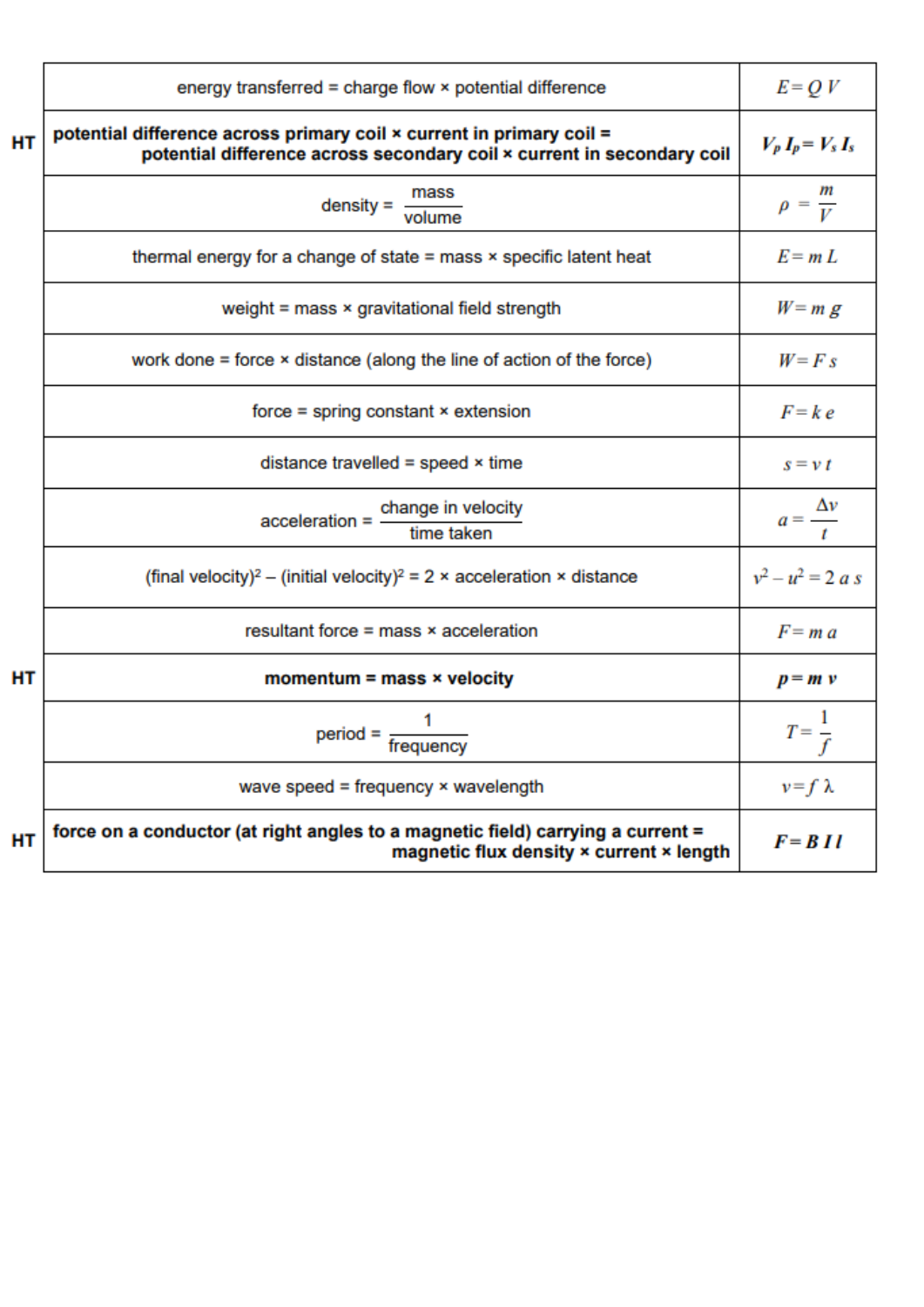|           | energy transferred = charge flow × potential difference                                                                                        | $E = QV$               |
|-----------|------------------------------------------------------------------------------------------------------------------------------------------------|------------------------|
| HT        | potential difference across primary coil x current in primary coil =<br>potential difference across secondary coil x current in secondary coil | $V_p I_p = V_s I_s$    |
|           | $density = \frac{mass}{volume}$                                                                                                                | $\rho = \frac{m}{V}$   |
|           | thermal energy for a change of state $=$ mass $\times$ specific latent heat                                                                    | $E = mL$               |
|           | weight = mass × gravitational field strength                                                                                                   | $W = m g$              |
|           | work done $=$ force $\times$ distance (along the line of action of the force)                                                                  | $W = F s$              |
|           | $force = spring constant × extension$                                                                                                          | $F = k e$              |
|           | distance travelled = speed $\times$ time                                                                                                       | $s = v t$              |
|           | $acceleration = \frac{change in velocity}{time taken}$                                                                                         | $a=\frac{\Delta v}{t}$ |
|           | (final velocity) <sup>2</sup> – (initial velocity) <sup>2</sup> = 2 × acceleration × distance                                                  | $v^2 - u^2 = 2 a s$    |
|           | resultant force $=$ mass $\times$ acceleration                                                                                                 | $F = ma$               |
| <b>HT</b> | momentum = mass $\times$ velocity                                                                                                              | $p = m v$              |
|           | $period = \frac{1}{frequency}$                                                                                                                 | $T=\frac{1}{f}$        |
|           | wave speed = frequency $\times$ wavelength                                                                                                     | $v = f \lambda$        |
| HT        | force on a conductor (at right angles to a magnetic field) carrying a current =<br>magnetic flux density x current x length                    | $F = B II$             |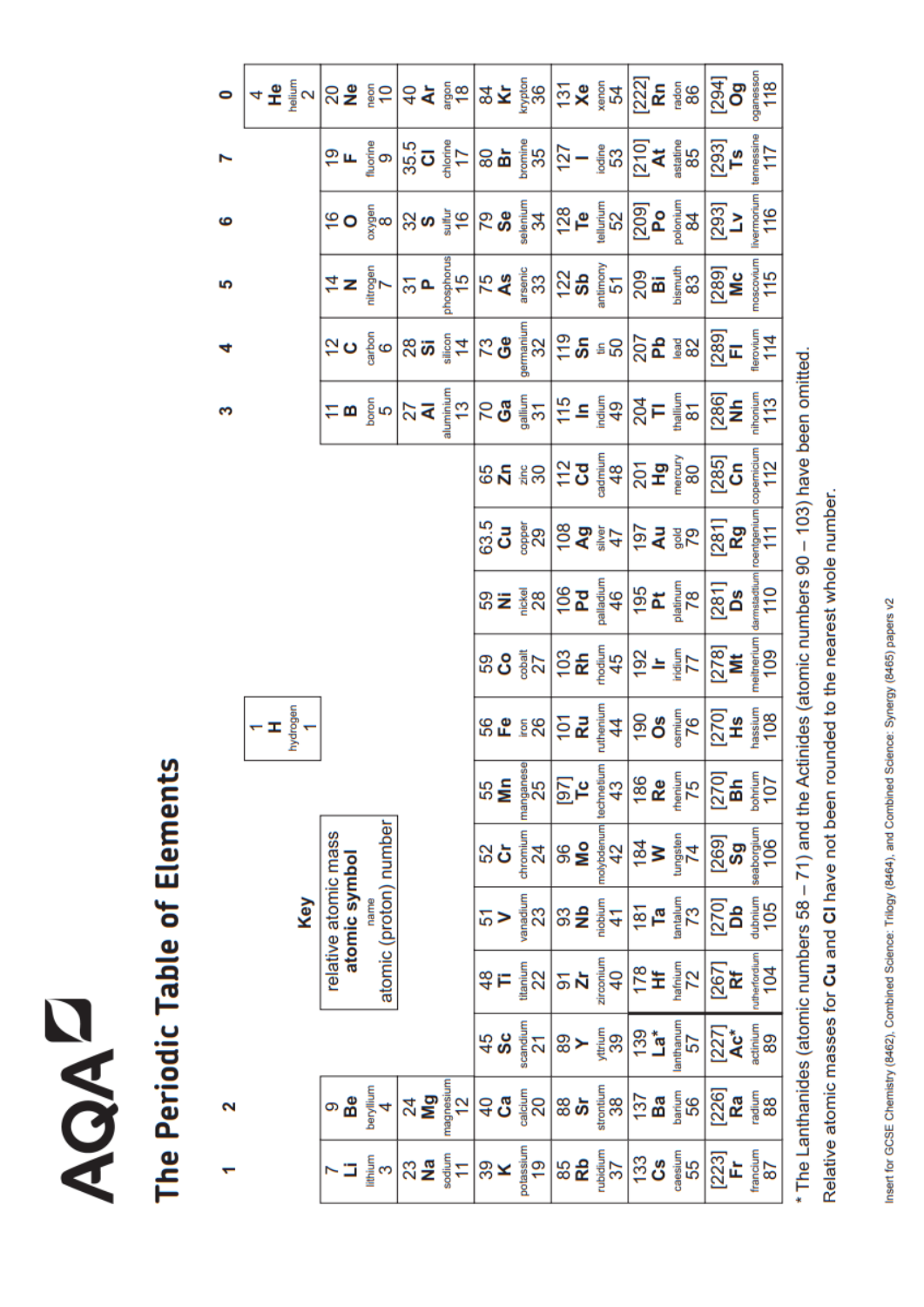## **NOAD**

# The Periodic Table of Elements

 $\mathbf{\tilde{z}}$ 

 $\bullet$ 

ဖ

ທ

d

S

|                                    |                                       |                        |                                  |                            |                      |                 |                 |                          |                         |                 | $\texttt{Var} \left[ \frac{1}{2} \texttt{Var} \left[ \frac{1}{2} \texttt{Var} \left[ \frac{1}{2} \texttt{Var} \left[ \frac{1}{2} \texttt{Var} \left[ \frac{1}{2} \texttt{Var} \left[ \frac{1}{2} \texttt{Var} \left[ \frac{1}{2} \texttt{Var} \left[ \frac{1}{2} \texttt{Var} \left[ \frac{1}{2} \texttt{Var} \left[ \frac{1}{2} \texttt{Var} \left[ \frac{1}{2} \right] \right] \right] \right] \right] \right] \right]$                                                               |                      |
|------------------------------------|---------------------------------------|------------------------|----------------------------------|----------------------------|----------------------|-----------------|-----------------|--------------------------|-------------------------|-----------------|-----------------------------------------------------------------------------------------------------------------------------------------------------------------------------------------------------------------------------------------------------------------------------------------------------------------------------------------------------------------------------------------------------------------------------------------------------------------------------------------|----------------------|
|                                    |                                       |                        |                                  |                            |                      |                 |                 |                          |                         |                 | $\left(50\frac{2}{3}\text{m}\right)$ $\left(50\frac{2}{3}\text{m}\right)$ $\left(50\frac{2}{3}\text{m}\right)$ $\left(50\frac{2}{3}\text{m}\right)$ $\left(50\frac{2}{3}\text{m}\right)$ $\left(50\frac{2}{3}\text{m}\right)$ $\left(50\frac{2}{3}\text{m}\right)$ $\left(50\frac{2}{3}\text{m}\right)$ $\left(50\frac{2}{3}\text{m}\right)$ $\left(50\frac{2}{3}\text{m}\right)$ $\left(50\frac{2}{$                                                                                   |                      |
|                                    |                                       |                        |                                  |                            |                      |                 |                 |                          |                         |                 | $\frac{1}{2} \times \frac{1}{2} \times \frac{1}{2} \times \frac{1}{2} \times \frac{1}{2} \times \frac{1}{2} \times \frac{1}{2} \times \frac{1}{2} \times \frac{1}{2} \times \frac{1}{2} \times \frac{1}{2} \times \frac{1}{2} \times \frac{1}{2} \times \frac{1}{2} \times \frac{1}{2} \times \frac{1}{2} \times \frac{1}{2} \times \frac{1}{2} \times \frac{1}{2} \times \frac{1}{2} \times \frac{1}{2} \times \frac{1}{2} \times \frac{1}{2} \times \frac{1}{2} \times \frac{1$       |                      |
|                                    |                                       |                        |                                  |                            |                      |                 |                 |                          |                         |                 | $\texttt{G} \bullet \tfrac{2}{9} \texttt{e} \left  \texttt{G} \cdot \mathbf{Q} \right  \texttt{G} \bullet \left  \texttt{G} \cdot \mathbf{Q} \right  \texttt{G} \bullet \mathbf{Q} \left  \texttt{G} \cdot \mathbf{Q} \right  \texttt{G} \bullet \mathbf{Q} \left  \texttt{G} \cdot \mathbf{Q} \right  \texttt{G} \bullet \mathbf{Q} \left  \texttt{G} \cdot \mathbf{Q} \right  \texttt{G} \bullet \mathbf{Q} \left  \texttt{G} \cdot \mathbf{Q} \right  \texttt{G} \bullet \mathbf{Q}$ |                      |
|                                    |                                       |                        |                                  |                            |                      |                 |                 |                          |                         |                 | $\sum_{i=1}^{n} \frac{1}{n} \sum_{i=1}^{n} \frac{1}{n} \sum_{i=1}^{n} \frac{1}{n} \sum_{i=1}^{n} \frac{1}{n} \sum_{i=1}^{n} \frac{1}{n} \sum_{i=1}^{n} \frac{1}{n} \sum_{i=1}^{n} \frac{1}{n} \sum_{i=1}^{n} \frac{1}{n} \sum_{i=1}^{n} \frac{1}{n} \sum_{i=1}^{n} \frac{1}{n} \sum_{i=1}^{n} \frac{1}{n} \sum_{i=1}^{n} \frac{1}{n} \sum_{i=1}^{n} \frac{1}{n$                                                                                                                         |                      |
|                                    |                                       |                        |                                  |                            |                      |                 |                 |                          |                         |                 | $\begin{picture}(180,10) \put(0,0){\line(1,0){15}} \put(10,0){\line(1,0){15}} \put(10,0){\line(1,0){15}} \put(10,0){\line(1,0){15}} \put(10,0){\line(1,0){15}} \put(10,0){\line(1,0){15}} \put(10,0){\line(1,0){15}} \put(10,0){\line(1,0){15}} \put(10,0){\line(1,0){15}} \put(10,0){\line(1,0){15}} \put(10,0){\line(1,0){15}} \put(10,0){\line($                                                                                                                                     |                      |
|                                    |                                       |                        |                                  |                            |                      |                 |                 |                          |                         |                 | $\begin{bmatrix} 1 & 0 & 0 & 0 \\ 0 & 0 & 0 & 0 \\ 0 & 0 & 0 & 0 \\ 0 & 0 & 0 & 0 \\ 0 & 0 & 0 & 0 \\ 0 & 0 & 0 & 0 \\ 0 & 0 & 0 & 0 \\ 0 & 0 & 0 & 0 \\ 0 & 0 & 0 & 0 \\ 0 & 0 & 0 & 0 \\ 0 & 0 & 0 & 0 \\ 0 & 0 & 0 & 0 \\ 0 & 0 & 0 & 0 \\ 0 & 0 & 0 & 0 \\ 0 & 0 & 0 & 0 \\ 0 & 0 & 0 & 0 \\ 0 & 0 & 0 & 0 \\ 0 & 0 & 0 & $                                                                                                                                                         |                      |
|                                    |                                       |                        |                                  |                            |                      |                 |                 |                          |                         |                 | $35 = \frac{1}{2} \times 10^{10} \text{ m}^2$                                                                                                                                                                                                                                                                                                                                                                                                                                           |                      |
|                                    |                                       |                        |                                  |                            |                      |                 |                 |                          |                         |                 | $38.8$ $\frac{2}{3}$ $\frac{1}{2}$ $\frac{1}{2}$ $\frac{1}{2}$ $\frac{1}{2}$ $\frac{1}{2}$ $\frac{1}{2}$ $\frac{1}{2}$ $\frac{1}{2}$ $\frac{1}{2}$ $\frac{1}{2}$ $\frac{1}{2}$ $\frac{1}{2}$ $\frac{1}{2}$ $\frac{1}{2}$ $\frac{1}{2}$ $\frac{1}{2}$ $\frac{1}{2}$ $\frac{1}{2}$ $\frac{1}{2}$ $\frac{1}{2}$ $\frac{$                                                                                                                                                                   |                      |
| $\frac{1}{\pi}$<br>$\frac{1}{\pi}$ |                                       |                        |                                  |                            |                      |                 |                 |                          |                         |                 | $rac{1}{2}$ $rac{1}{2}$ $rac{1}{2}$ $rac{1}{2}$ $rac{1}{2}$ $rac{1}{2}$ $rac{1}{2}$ $rac{1}{2}$ $rac{1}{2}$ $rac{1}{2}$ $rac{1}{2}$ $rac{1}{2}$ $rac{1}{2}$ $rac{1}{2}$ $rac{1}{2}$ $rac{1}{2}$ $rac{1}{2}$ $rac{1}{2}$ $rac{1}{2}$ $rac{1}{2}$ $rac{1}{2}$ $rac{1}{2}$ $rac{1}{2}$ $rac{1}{2}$ $rac{1}{$                                                                                                                                                                               |                      |
|                                    |                                       |                        |                                  |                            | 55<br><mark>M</mark> | manganese<br>25 | $\frac{5}{2}$   | technetium<br>43         | $\frac{86}{R}$          | $\frac{1}{25}$  | $[270]$<br>Bh<br>$\frac{1}{207}$                                                                                                                                                                                                                                                                                                                                                                                                                                                        |                      |
|                                    |                                       | atomic (proton) number |                                  |                            | នង                   | chromium<br>24  | $\frac{8}{2}$   | molybdenum<br>42         | $\frac{1}{8}$<br>$\geq$ | tungsten<br>74  | $\begin{bmatrix} 269\  \mathbf{Sg} \ \mathbf{sg} \ \mathbf{ss} \end{bmatrix}$                                                                                                                                                                                                                                                                                                                                                                                                           |                      |
| Key                                | relative atomic mass<br>atomic symbol | name                   |                                  |                            | 5                    | vanadium<br>23  | SS<br>SS        | niobium<br>$\mathcal{A}$ | $\frac{5}{6}$           | $\frac{52}{13}$ | $[270]$<br>Db<br>$40$<br>$105$                                                                                                                                                                                                                                                                                                                                                                                                                                                          |                      |
|                                    |                                       |                        |                                  |                            | $\frac{8}{4}$        | titanium<br>22  | 5<br>ম          | zirconium<br>$40$        | $\frac{4}{25}$          | hafnium<br>72   | $[267]$ <b>Rf</b>                                                                                                                                                                                                                                                                                                                                                                                                                                                                       | rutherfordium<br>104 |
|                                    |                                       |                        |                                  |                            | $\frac{45}{9}$       | scandium<br>21  | 80 ≻ 튛          | 39                       | ត្ត<br>ខេ               | lanthanum<br>57 | 277<br><b>Ac*</b><br>##                                                                                                                                                                                                                                                                                                                                                                                                                                                                 |                      |
|                                    | Be                                    | nuillylec              | $^{24}_{\color{red} \mathbf{N}}$ | magnesium<br>$\frac{2}{3}$ | ទ <b>ី</b>           | calcium<br>20   | $\frac{8}{3}$ ნ | strontium<br>38          | $137$<br>Ba             | barium<br>56    | $\frac{[226]}{Ra}$                                                                                                                                                                                                                                                                                                                                                                                                                                                                      | radium<br>88         |
|                                    |                                       | lithium<br>S           | $\frac{23}{2}$                   | sodium<br>11               | $\frac{8}{3}$        | otassium<br>19  | 85              | rubidium<br>37           | <u>ဒို</u>              | caesium<br>55   | $[223]$ Fr                                                                                                                                                                                                                                                                                                                                                                                                                                                                              | francium<br>87       |

\* The Lanthanides (atomic numbers 58 - 71) and the Actinides (atomic numbers 90 - 103) have been omitted. Relative atomic masses for Cu and CI have not been rounded to the nearest whole number.